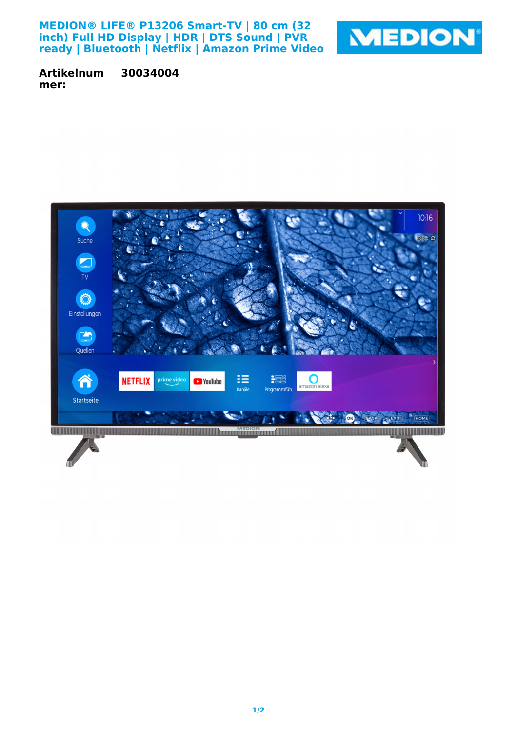**MEDION® LIFE® P13206 Smart-TV | 80 cm (32 inch) Full HD Display | HDR | DTS Sound | PVR ready | Bluetooth | Netflix | Amazon Prime Video**



**Artikelnum mer: 30034004**